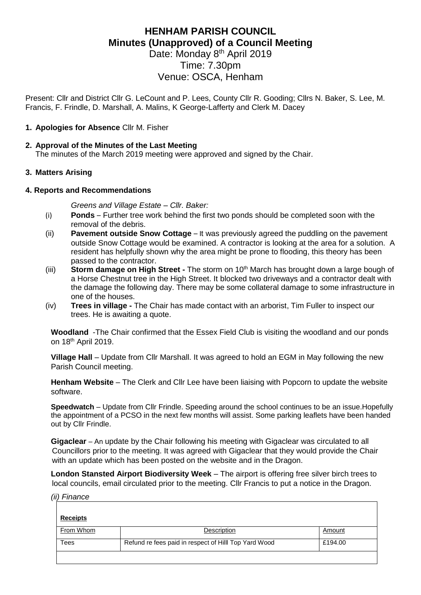# **HENHAM PARISH COUNCIL Minutes (Unapproved) of a Council Meeting**

Date: Monday 8<sup>th</sup> April 2019 Time: 7.30pm Venue: OSCA, Henham

Present: Cllr and District Cllr G. LeCount and P. Lees, County Cllr R. Gooding; Cllrs N. Baker, S. Lee, M. Francis, F. Frindle, D. Marshall, A. Malins, K George-Lafferty and Clerk M. Dacey

## **1. Apologies for Absence** Cllr M. Fisher

## **2. Approval of the Minutes of the Last Meeting**

The minutes of the March 2019 meeting were approved and signed by the Chair.

## **3. Matters Arising**

#### **4. Reports and Recommendations**

*Greens and Village Estate – Cllr. Baker:*

- (i) **Ponds**  Further tree work behind the first two ponds should be completed soon with the removal of the debris.
- (ii) **Pavement outside Snow Cottage**  It was previously agreed the puddling on the pavement outside Snow Cottage would be examined. A contractor is looking at the area for a solution. A resident has helpfully shown why the area might be prone to flooding, this theory has been passed to the contractor.
- (iii) **Storm damage on High Street -** The storm on 10th March has brought down a large bough of a Horse Chestnut tree in the High Street. It blocked two driveways and a contractor dealt with the damage the following day. There may be some collateral damage to some infrastructure in one of the houses.
- (iv) **Trees in village -** The Chair has made contact with an arborist, Tim Fuller to inspect our trees. He is awaiting a quote.

**Woodland** -The Chair confirmed that the Essex Field Club is visiting the woodland and our ponds on 18th April 2019.

**Village Hall** – Update from Cllr Marshall. It was agreed to hold an EGM in May following the new Parish Council meeting.

**Henham Website** – The Clerk and Cllr Lee have been liaising with Popcorn to update the website software.

**Speedwatch** – Update from Cllr Frindle. Speeding around the school continues to be an issue.Hopefully the appointment of a PCSO in the next few months will assist. Some parking leaflets have been handed out by Cllr Frindle.

**Gigaclear** – An update by the Chair following his meeting with Gigaclear was circulated to all Councillors prior to the meeting. It was agreed with Gigaclear that they would provide the Chair with an update which has been posted on the website and in the Dragon.

**London Stansted Airport Biodiversity Week** – The airport is offering free silver birch trees to local councils, email circulated prior to the meeting. Cllr Francis to put a notice in the Dragon.

*(ii) Finance*

| <b>Receipts</b> |                                                       |         |
|-----------------|-------------------------------------------------------|---------|
| From Whom       | Description                                           | Amount  |
| Tees            | Refund re fees paid in respect of Hilll Top Yard Wood | £194.00 |
|                 |                                                       |         |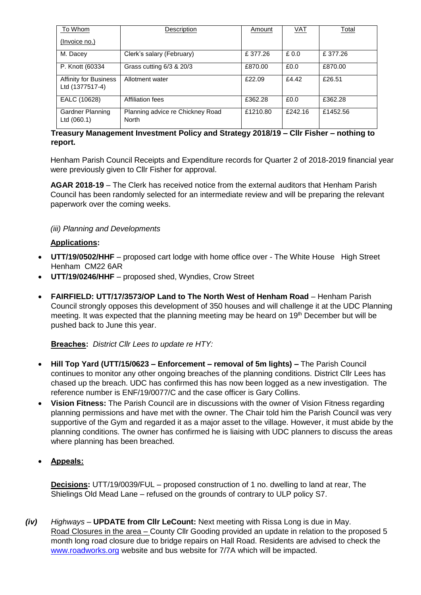| To Whom                                         | Description                               | Amount   | <u>VAT</u> | Total    |
|-------------------------------------------------|-------------------------------------------|----------|------------|----------|
| (Invoice no.)                                   |                                           |          |            |          |
| M. Dacey                                        | Clerk's salary (February)                 | £377.26  | £0.0       | £377.26  |
| P. Knott (60334                                 | Grass cutting 6/3 & 20/3                  | £870.00  | £0.0       | £870.00  |
| <b>Affinity for Business</b><br>Ltd (1377517-4) | Allotment water                           | £22.09   | £4.42      | £26.51   |
| EALC (10628)                                    | Affiliation fees                          | £362.28  | £0.0       | £362.28  |
| <b>Gardner Planning</b><br>Ltd (060.1)          | Planning advice re Chickney Road<br>North | £1210.80 | £242.16    | £1452.56 |

# **Treasury Management Investment Policy and Strategy 2018/19 – Cllr Fisher – nothing to report.**

Henham Parish Council Receipts and Expenditure records for Quarter 2 of 2018-2019 financial year were previously given to Cllr Fisher for approval.

**AGAR 2018-19** – The Clerk has received notice from the external auditors that Henham Parish Council has been randomly selected for an intermediate review and will be preparing the relevant paperwork over the coming weeks.

# *(iii) Planning and Developments*

## **Applications:**

- **UTT/19/0502/HHF** proposed cart lodge with home office over The White House High Street Henham CM22 6AR
- **UTT/19/0246/HHF** proposed shed, Wyndies, Crow Street
- **FAIRFIELD: UTT/17/3573/OP Land to The North West of Henham Road** Henham Parish Council strongly opposes this development of 350 houses and will challenge it at the UDC Planning meeting. It was expected that the planning meeting may be heard on 19th December but will be pushed back to June this year.

#### **Breaches:** *District Cllr Lees to update re HTY:*

- **Hill Top Yard (UTT/15/0623 – Enforcement – removal of 5m lights) –** The Parish Council continues to monitor any other ongoing breaches of the planning conditions. District Cllr Lees has chased up the breach. UDC has confirmed this has now been logged as a new investigation. The reference number is ENF/19/0077/C and the case officer is Gary Collins.
- **Vision Fitness:** The Parish Council are in discussions with the owner of Vision Fitness regarding planning permissions and have met with the owner. The Chair told him the Parish Council was very supportive of the Gym and regarded it as a major asset to the village. However, it must abide by the planning conditions. The owner has confirmed he is liaising with UDC planners to discuss the areas where planning has been breached.
- **Appeals:**

**Decisions:** UTT/19/0039/FUL – proposed construction of 1 no. dwelling to land at rear, The Shielings Old Mead Lane – refused on the grounds of contrary to ULP policy S7.

*(iv) Highways –* **UPDATE from Cllr LeCount:** Next meeting with Rissa Long is due in May. Road Closures in the area – County Cllr Gooding provided an update in relation to the proposed 5 month long road closure due to bridge repairs on Hall Road. Residents are advised to check the [www.roadworks.org](http://www.roadworks.org/) website and bus website for 7/7A which will be impacted.